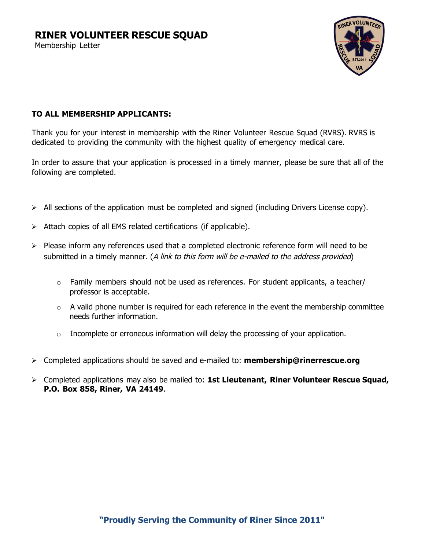## **RINER VOLUNTEER RESCUE SQUAD**

Membership Letter



### **TO ALL MEMBERSHIP APPLICANTS:**

Thank you for your interest in membership with the Riner Volunteer Rescue Squad (RVRS). RVRS is dedicated to providing the community with the highest quality of emergency medical care.

In order to assure that your application is processed in a timely manner, please be sure that all of the following are completed.

- $\triangleright$  All sections of the application must be completed and signed (including Drivers License copy).
- $\triangleright$  Attach copies of all EMS related certifications (if applicable).
- $\triangleright$  Please inform any references used that a completed electronic reference form will need to be submitted in a timely manner. (A link to this form will be e-mailed to the address provided)
	- $\circ$  Family members should not be used as references. For student applicants, a teacher/ professor is acceptable.
	- $\circ$  A valid phone number is required for each reference in the event the membership committee needs further information.
	- $\circ$  Incomplete or erroneous information will delay the processing of your application.
- ¾ Completed applications should be saved and e-mailed to: **membership@rinerrescue.org**
- ¾ Completed applications may also be mailed to: **1st Lieutenant, Riner Volunteer Rescue Squad, P.O. Box 858, Riner, VA 24149**.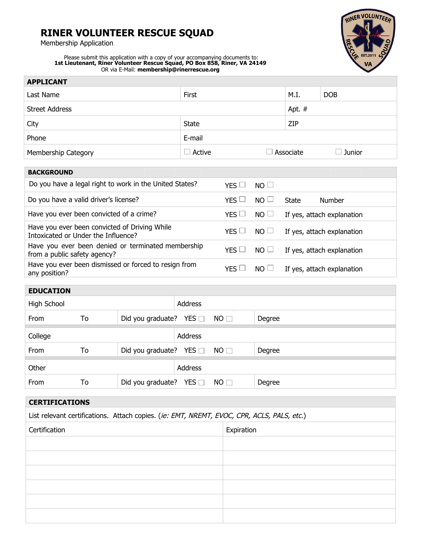# **RINER VOLUNTEER RESCUE SQUAD**

Membership Application



Please submit this application with a copy of your accompanying documents to: **1st Lieutenant, Riner Volunteer Rescue Squad, PO Box 858, Riner, VA 24149** OR via E-Mail: **membership@rinerrescue.org**

| <b>APPLICANT</b>      |               |           |               |  |
|-----------------------|---------------|-----------|---------------|--|
| Last Name             | First         | M.I.      | <b>DOB</b>    |  |
| <b>Street Address</b> |               |           | Apt. #        |  |
| City                  | <b>State</b>  | ZIP       |               |  |
| Phone                 | E-mail        |           |               |  |
| Membership Category   | $\Box$ Active | Associate | $\Box$ Junior |  |
|                       |               |           |               |  |

| <b>BACKGROUND</b>                                                                    |                           |                            |
|--------------------------------------------------------------------------------------|---------------------------|----------------------------|
| Do you have a legal right to work in the United States?                              | YES $\Box$<br>$NO \Box$   |                            |
| Do you have a valid driver's license?                                                | YES $\Box$<br>$NO \sqcup$ | State<br>Number            |
| Have you ever been convicted of a crime?                                             | $YES$ $\Box$<br>$NO \Box$ | If yes, attach explanation |
| Have you ever been convicted of Driving While<br>Intoxicated or Under the Influence? | $YES$ $\Box$<br>$NO \Box$ | If yes, attach explanation |
| Have you ever been denied or terminated membership<br>from a public safety agency?   | YES $\Box$<br>$NO \Box$   | If yes, attach explanation |
| Have you ever been dismissed or forced to resign from<br>any position?               | YES I<br>$NO \sqcup$      | If yes, attach explanation |

### **EDUCATION**

| High School |    |                                        | Address |           |        |
|-------------|----|----------------------------------------|---------|-----------|--------|
| From        | To | Did you graduate? YES $\Box$ NO $\Box$ |         |           | Degree |
| College     |    |                                        | Address |           |        |
| From        | To | Did you graduate? YES $\Box$           |         | $NO \Box$ | Degree |
| Other       |    |                                        | Address |           |        |
| From        | To | Did you graduate? YES $\square$        |         | $NO \Box$ | Degree |

| <b>CERTIFICATIONS</b>                                                                      |  |  |  |
|--------------------------------------------------------------------------------------------|--|--|--|
| List relevant certifications. Attach copies. (ie: EMT, NREMT, EVOC, CPR, ACLS, PALS, etc.) |  |  |  |
| Certification<br>Expiration                                                                |  |  |  |
|                                                                                            |  |  |  |
|                                                                                            |  |  |  |
|                                                                                            |  |  |  |
|                                                                                            |  |  |  |
|                                                                                            |  |  |  |
|                                                                                            |  |  |  |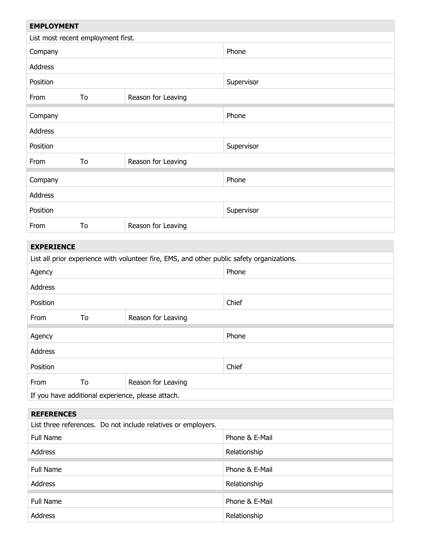| <b>EMPLOYMENT</b>                                             |                          |                                                                                            |                |  |
|---------------------------------------------------------------|--------------------------|--------------------------------------------------------------------------------------------|----------------|--|
| List most recent employment first.                            |                          |                                                                                            |                |  |
| Company                                                       |                          |                                                                                            | Phone          |  |
| Address                                                       |                          |                                                                                            |                |  |
| Position                                                      |                          |                                                                                            | Supervisor     |  |
| From                                                          | To                       | Reason for Leaving                                                                         |                |  |
| Company                                                       |                          |                                                                                            | Phone          |  |
| Address                                                       |                          |                                                                                            |                |  |
| Position                                                      | Supervisor               |                                                                                            |                |  |
| From                                                          | To                       | Reason for Leaving                                                                         |                |  |
| Company                                                       |                          |                                                                                            | Phone          |  |
| Address                                                       |                          |                                                                                            |                |  |
| Position                                                      |                          |                                                                                            | Supervisor     |  |
| From                                                          | To                       | Reason for Leaving                                                                         |                |  |
| <b>EXPERIENCE</b>                                             |                          |                                                                                            |                |  |
|                                                               |                          | List all prior experience with volunteer fire, EMS, and other public safety organizations. |                |  |
| Agency                                                        |                          |                                                                                            | Phone          |  |
| Address                                                       |                          |                                                                                            |                |  |
| Position                                                      |                          |                                                                                            | Chief          |  |
| From                                                          | To                       | Reason for Leaving                                                                         |                |  |
| Agency                                                        |                          |                                                                                            | Phone          |  |
| Address                                                       |                          |                                                                                            |                |  |
| Position                                                      |                          |                                                                                            | Chief          |  |
| From                                                          | To<br>Reason for Leaving |                                                                                            |                |  |
| If you have additional experience, please attach.             |                          |                                                                                            |                |  |
| <b>REFERENCES</b>                                             |                          |                                                                                            |                |  |
| List three references. Do not include relatives or employers. |                          |                                                                                            |                |  |
| Full Name                                                     |                          |                                                                                            | Phone & E-Mail |  |
| <b>Address</b>                                                |                          |                                                                                            | Relationship   |  |
| <b>Full Name</b>                                              |                          |                                                                                            | Phone & E-Mail |  |
| Address                                                       |                          |                                                                                            | Relationship   |  |
| <b>Full Name</b>                                              |                          |                                                                                            | Phone & E-Mail |  |
| Address                                                       |                          |                                                                                            | Relationship   |  |